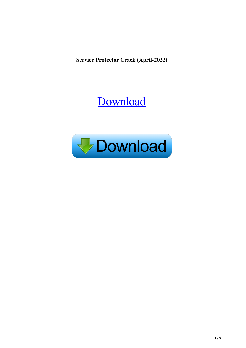**Service Protector Crack (April-2022)**

# [Download](http://evacdir.com/candace=unworthy/U2VydmljZSBQcm90ZWN0b3IU2V.masseuses?ZG93bmxvYWR8cWc0TlhaNlpYeDhNVFkxTkRRek5qWTFPSHg4TWpVNU1IeDhLRTBwSUZkdmNtUndjbVZ6Y3lCYldFMU1VbEJESUZZeUlGQkVSbDA=invigoration)

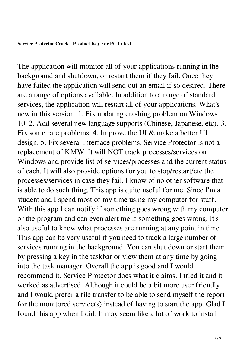#### **Service Protector Crack+ Product Key For PC Latest**

The application will monitor all of your applications running in the background and shutdown, or restart them if they fail. Once they have failed the application will send out an email if so desired. There are a range of options available. In addition to a range of standard services, the application will restart all of your applications. What's new in this version: 1. Fix updating crashing problem on Windows 10. 2. Add several new language supports (Chinese, Japanese, etc). 3. Fix some rare problems. 4. Improve the UI & make a better UI design. 5. Fix several interface problems. Service Protector is not a replacement of KMW. It will NOT track processes/services on Windows and provide list of services/processes and the current status of each. It will also provide options for you to stop/restart/etc the processes/services in case they fail. I know of no other software that is able to do such thing. This app is quite useful for me. Since I'm a student and I spend most of my time using my computer for stuff. With this app I can notify if something goes wrong with my computer or the program and can even alert me if something goes wrong. It's also useful to know what processes are running at any point in time. This app can be very useful if you need to track a large number of services running in the background. You can shut down or start them by pressing a key in the taskbar or view them at any time by going into the task manager. Overall the app is good and I would recommend it. Service Protector does what it claims. I tried it and it worked as advertised. Although it could be a bit more user friendly and I would prefer a file transfer to be able to send myself the report for the monitored service(s) instead of having to start the app. Glad I found this app when I did. It may seem like a lot of work to install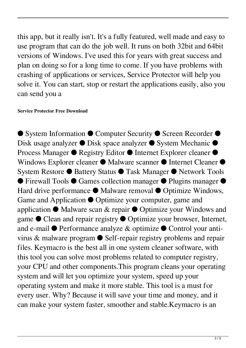this app, but it really isn't. It's a fully featured, well made and easy to use program that can do the job well. It runs on both 32bit and 64bit versions of Windows. I've used this for years with great success and plan on doing so for a long time to come. If you have problems with crashing of applications or services, Service Protector will help you solve it. You can start, stop or restart the applications easily, also you can send you a

#### **Service Protector Free Download**

● System Information ● Computer Security ● Screen Recorder ● Disk usage analyzer ● Disk space analyzer ● System Mechanic ● Process Manager ● Registry Editor ● Internet Explorer cleaner ● Windows Explorer cleaner ● Malware scanner ● Internet Cleaner ● System Restore ● Battery Status ● Task Manager ● Network Tools ● Firewall Tools ● Games collection manager ● Plugins manager ● Hard drive performance ● Malware removal ● Optimize Windows, Game and Application ● Optimize your computer, game and application ● Malware scan & repair ● Optimize your Windows and game ● Clean and repair registry ● Optimize your browser, Internet, and e-mail ● Performance analyze & optimize ● Control your antivirus & malware program ● Self-repair registry problems and repair files. Keymacro is the best all in one system cleaner software, with this tool you can solve most problems related to computer registry, your CPU and other components.This program cleans your operating system and will let you optimize your system, speed up your operating system and make it more stable. This tool is a must for every user. Why? Because it will save your time and money, and it can make your system faster, smoother and stable.Keymacro is an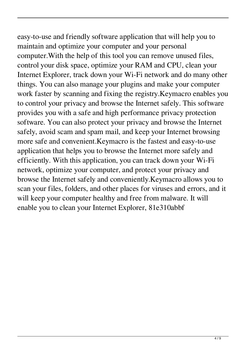easy-to-use and friendly software application that will help you to maintain and optimize your computer and your personal computer.With the help of this tool you can remove unused files, control your disk space, optimize your RAM and CPU, clean your Internet Explorer, track down your Wi-Fi network and do many other things. You can also manage your plugins and make your computer work faster by scanning and fixing the registry.Keymacro enables you to control your privacy and browse the Internet safely. This software provides you with a safe and high performance privacy protection software. You can also protect your privacy and browse the Internet safely, avoid scam and spam mail, and keep your Internet browsing more safe and convenient.Keymacro is the fastest and easy-to-use application that helps you to browse the Internet more safely and efficiently. With this application, you can track down your Wi-Fi network, optimize your computer, and protect your privacy and browse the Internet safely and conveniently.Keymacro allows you to scan your files, folders, and other places for viruses and errors, and it will keep your computer healthy and free from malware. It will enable you to clean your Internet Explorer, 81e310abbf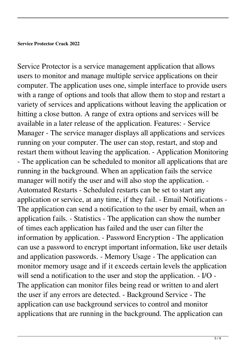Service Protector is a service management application that allows users to monitor and manage multiple service applications on their computer. The application uses one, simple interface to provide users with a range of options and tools that allow them to stop and restart a variety of services and applications without leaving the application or hitting a close button. A range of extra options and services will be available in a later release of the application. Features: - Service Manager - The service manager displays all applications and services running on your computer. The user can stop, restart, and stop and restart them without leaving the application. - Application Monitoring - The application can be scheduled to monitor all applications that are running in the background. When an application fails the service manager will notify the user and will also stop the application. - Automated Restarts - Scheduled restarts can be set to start any application or service, at any time, if they fail. - Email Notifications - The application can send a notification to the user by email, when an application fails. - Statistics - The application can show the number of times each application has failed and the user can filter the information by application. - Password Encryption - The application can use a password to encrypt important information, like user details and application passwords. - Memory Usage - The application can monitor memory usage and if it exceeds certain levels the application will send a notification to the user and stop the application. - I/O - The application can monitor files being read or written to and alert the user if any errors are detected. - Background Service - The application can use background services to control and monitor applications that are running in the background. The application can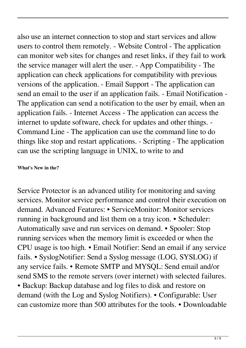also use an internet connection to stop and start services and allow users to control them remotely. - Website Control - The application can monitor web sites for changes and reset links, if they fail to work the service manager will alert the user. - App Compatibility - The application can check applications for compatibility with previous versions of the application. - Email Support - The application can send an email to the user if an application fails. - Email Notification - The application can send a notification to the user by email, when an application fails. - Internet Access - The application can access the internet to update software, check for updates and other things. - Command Line - The application can use the command line to do things like stop and restart applications. - Scripting - The application can use the scripting language in UNIX, to write to and

### **What's New in the?**

Service Protector is an advanced utility for monitoring and saving services. Monitor service performance and control their execution on demand. Advanced Features: • ServiceMonitor: Monitor services running in background and list them on a tray icon. • Scheduler: Automatically save and run services on demand. • Spooler: Stop running services when the memory limit is exceeded or when the CPU usage is too high. • Email Notifier: Send an email if any service fails. • SyslogNotifier: Send a Syslog message (LOG, SYSLOG) if any service fails. • Remote SMTP and MYSQL: Send email and/or send SMS to the remote servers (over internet) with selected failures. • Backup: Backup database and log files to disk and restore on demand (with the Log and Syslog Notifiers). • Configurable: User can customize more than 500 attributes for the tools. • Downloadable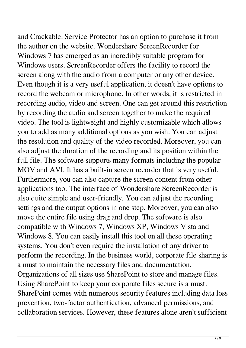and Crackable: Service Protector has an option to purchase it from the author on the website. Wondershare ScreenRecorder for Windows 7 has emerged as an incredibly suitable program for Windows users. ScreenRecorder offers the facility to record the screen along with the audio from a computer or any other device. Even though it is a very useful application, it doesn't have options to record the webcam or microphone. In other words, it is restricted in recording audio, video and screen. One can get around this restriction by recording the audio and screen together to make the required video. The tool is lightweight and highly customizable which allows you to add as many additional options as you wish. You can adjust the resolution and quality of the video recorded. Moreover, you can also adjust the duration of the recording and its position within the full file. The software supports many formats including the popular MOV and AVI. It has a built-in screen recorder that is very useful. Furthermore, you can also capture the screen content from other applications too. The interface of Wondershare ScreenRecorder is also quite simple and user-friendly. You can adjust the recording settings and the output options in one step. Moreover, you can also move the entire file using drag and drop. The software is also compatible with Windows 7, Windows XP, Windows Vista and Windows 8. You can easily install this tool on all these operating systems. You don't even require the installation of any driver to perform the recording. In the business world, corporate file sharing is a must to maintain the necessary files and documentation. Organizations of all sizes use SharePoint to store and manage files. Using SharePoint to keep your corporate files secure is a must. SharePoint comes with numerous security features including data loss prevention, two-factor authentication, advanced permissions, and collaboration services. However, these features alone aren't sufficient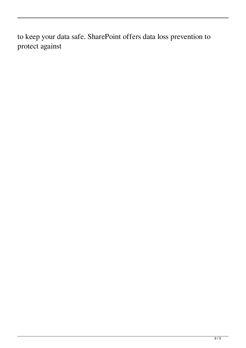to keep your data safe. SharePoint offers data loss prevention to protect against